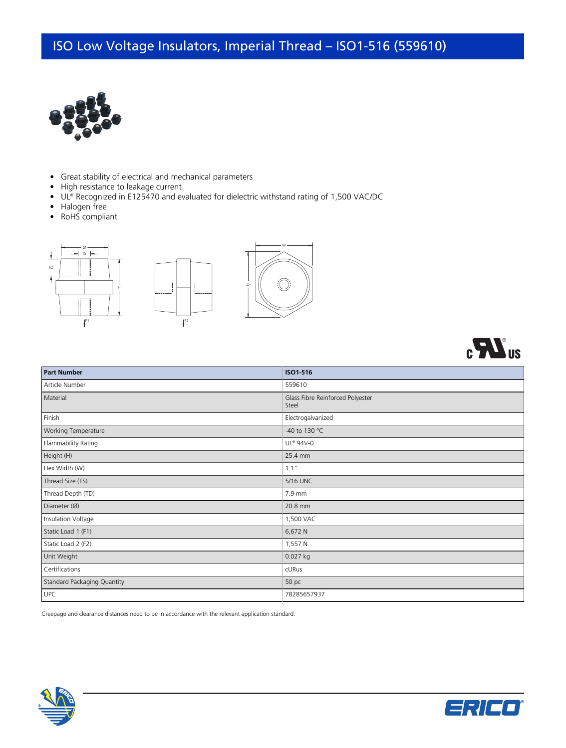## ISO Low Voltage Insulators, Imperial Thread – ISO1-516 (559610)



- Great stability of electrical and mechanical parameters
- High resistance to leakage current
- UL® Recognized in E125470 and evaluated for dielectric withstand rating of 1,500 VAC/DC
- Halogen free
- RoHS compliant





| <b>Part Number</b>                 | ISO1-516                                  |
|------------------------------------|-------------------------------------------|
| Article Number                     | 559610                                    |
| Material                           | Glass Fibre Reinforced Polyester<br>Steel |
| Finish                             | Electrogalvanized                         |
| Working Temperature                | -40 to 130 °C                             |
| Flammability Rating                | UL® 94V-0                                 |
| Height (H)                         | 25.4 mm                                   |
| Hex Width (W)                      | 1.1"                                      |
| Thread Size (TS)                   | 5/16 UNC                                  |
| Thread Depth (TD)                  | 7.9 mm                                    |
| Diameter (Ø)                       | 20.8 mm                                   |
| Insulation Voltage                 | 1,500 VAC                                 |
| Static Load 1 (F1)                 | 6,672 N                                   |
| Static Load 2 (F2)                 | 1,557 N                                   |
| Unit Weight                        | 0.027 kg                                  |
| Certifications                     | cURus                                     |
| <b>Standard Packaging Quantity</b> | 50 pc                                     |
| <b>UPC</b>                         | 78285657937                               |

Creepage and clearance distances need to be in accordance with the relevant application standard.